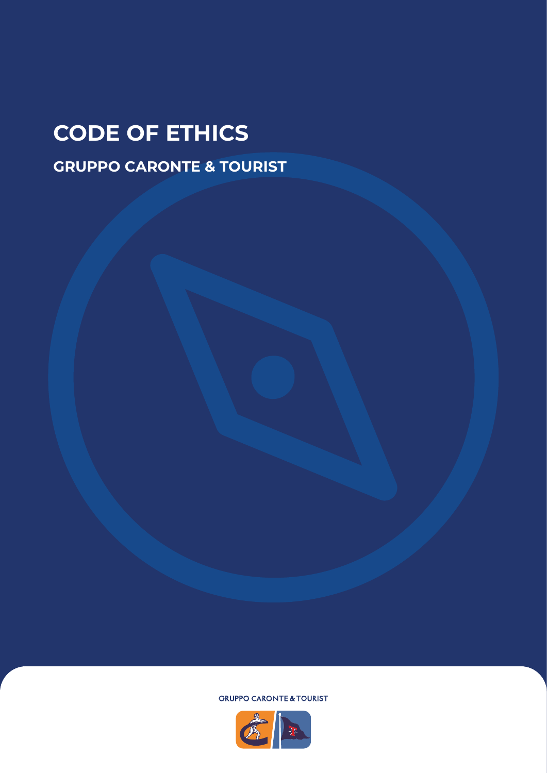## **CODE OF ETHICS**

**GRUPPO CARONTE & TOURIST**

**GRUPPO CARONTE & TOURIST** 

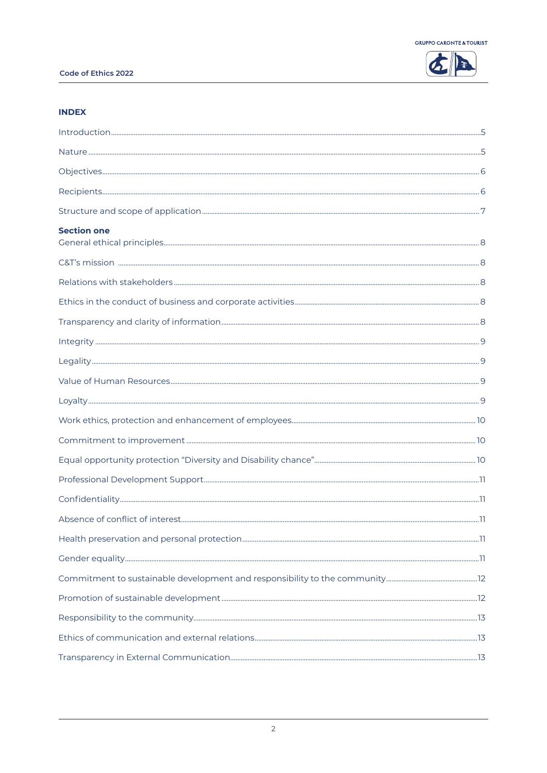

## **INDEX**

| <b>Section one</b> |  |
|--------------------|--|
|                    |  |
|                    |  |
|                    |  |
|                    |  |
|                    |  |
|                    |  |
|                    |  |
|                    |  |
|                    |  |
|                    |  |
|                    |  |
|                    |  |
|                    |  |
|                    |  |
|                    |  |
|                    |  |
|                    |  |
|                    |  |
|                    |  |
|                    |  |
|                    |  |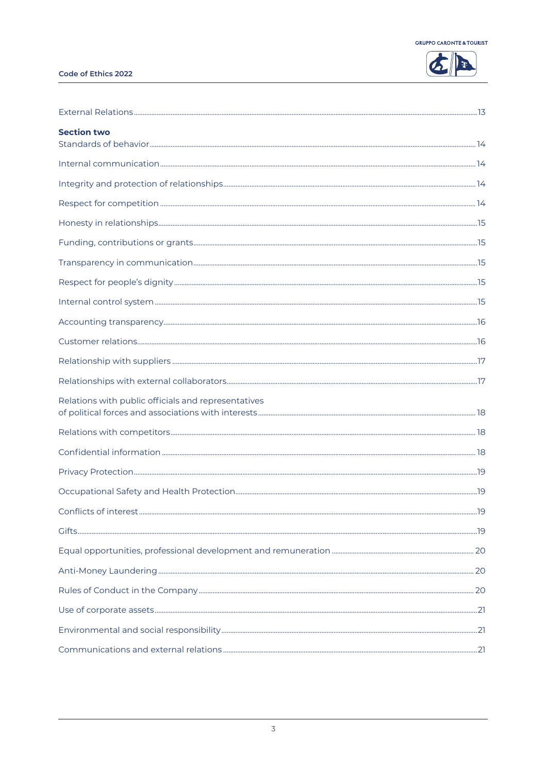

## Code of Ethics 2022

| <b>Section two</b>                                  |  |
|-----------------------------------------------------|--|
|                                                     |  |
|                                                     |  |
|                                                     |  |
|                                                     |  |
|                                                     |  |
|                                                     |  |
|                                                     |  |
|                                                     |  |
|                                                     |  |
|                                                     |  |
|                                                     |  |
|                                                     |  |
| Relations with public officials and representatives |  |
|                                                     |  |
|                                                     |  |
|                                                     |  |
|                                                     |  |
|                                                     |  |
|                                                     |  |
|                                                     |  |
|                                                     |  |
|                                                     |  |
|                                                     |  |
|                                                     |  |
|                                                     |  |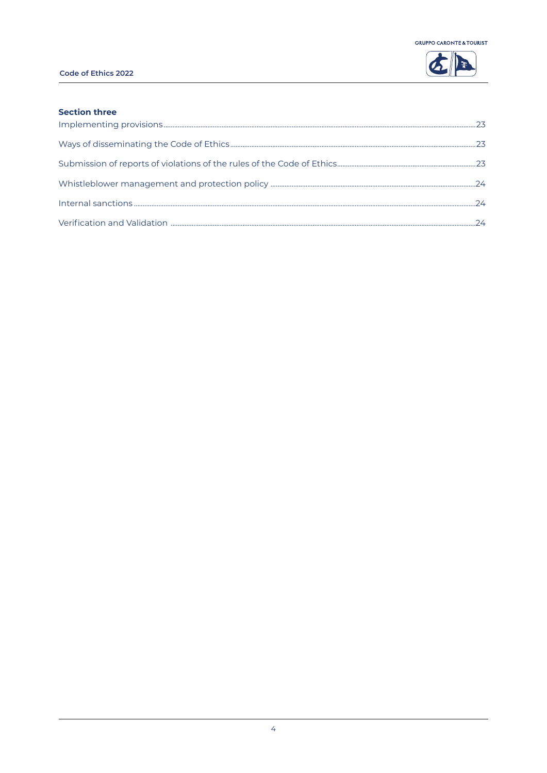

## Code of Ethics 2022

## **Section three**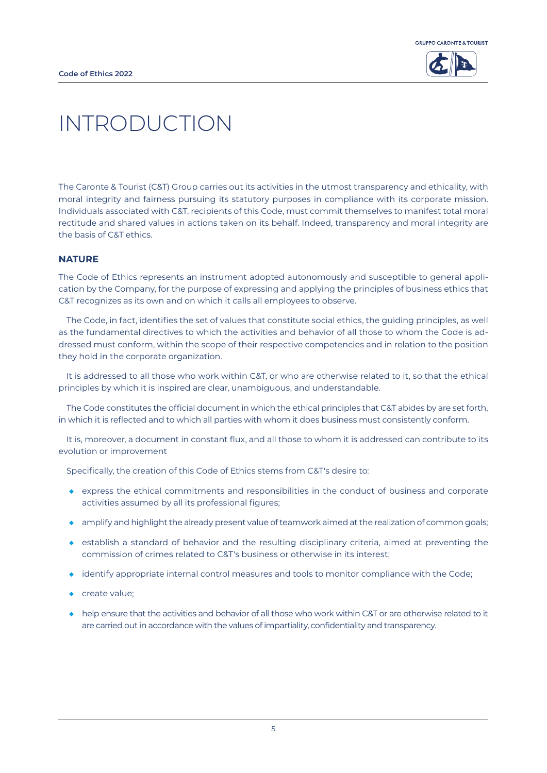



## INTRODUCTION

The Caronte & Tourist (C&T) Group carries out its activities in the utmost transparency and ethicality, with moral integrity and fairness pursuing its statutory purposes in compliance with its corporate mission. Individuals associated with C&T, recipients of this Code, must commit themselves to manifest total moral rectitude and shared values in actions taken on its behalf. Indeed, transparency and moral integrity are the basis of C&T ethics.

## **NATURE**

The Code of Ethics represents an instrument adopted autonomously and susceptible to general application by the Company, for the purpose of expressing and applying the principles of business ethics that C&T recognizes as its own and on which it calls all employees to observe.

The Code, in fact, identifies the set of values that constitute social ethics, the guiding principles, as well as the fundamental directives to which the activities and behavior of all those to whom the Code is addressed must conform, within the scope of their respective competencies and in relation to the position they hold in the corporate organization.

It is addressed to all those who work within C&T, or who are otherwise related to it, so that the ethical principles by which it is inspired are clear, unambiguous, and understandable.

The Code constitutes the official document in which the ethical principles that C&T abides by are set forth, in which it is reflected and to which all parties with whom it does business must consistently conform.

It is, moreover, a document in constant flux, and all those to whom it is addressed can contribute to its evolution or improvement

Specifically, the creation of this Code of Ethics stems from C&T's desire to:

- ◆ express the ethical commitments and responsibilities in the conduct of business and corporate activities assumed by all its professional figures;
- ◆ amplify and highlight the already present value of teamwork aimed at the realization of common goals;
- ◆ establish a standard of behavior and the resulting disciplinary criteria, aimed at preventing the commission of crimes related to C&T's business or otherwise in its interest;
- ◆ identify appropriate internal control measures and tools to monitor compliance with the Code;
- ◆ create value;
- ◆ help ensure that the activities and behavior of all those who work within C&T or are otherwise related to it are carried out in accordance with the values of impartiality, confidentiality and transparency.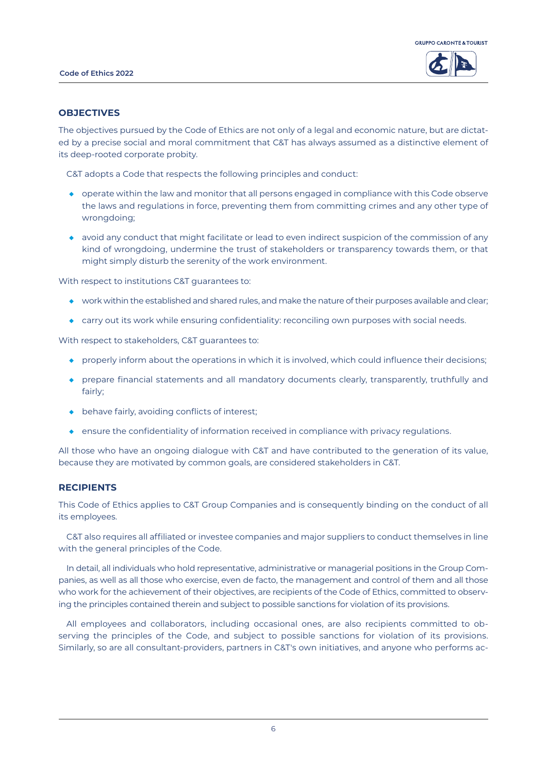



#### **OBJECTIVES**

The objectives pursued by the Code of Ethics are not only of a legal and economic nature, but are dictated by a precise social and moral commitment that C&T has always assumed as a distinctive element of its deep-rooted corporate probity.

C&T adopts a Code that respects the following principles and conduct:

- ◆ operate within the law and monitor that all persons engaged in compliance with this Code observe the laws and regulations in force, preventing them from committing crimes and any other type of wrongdoing;
- ◆ avoid any conduct that might facilitate or lead to even indirect suspicion of the commission of any kind of wrongdoing, undermine the trust of stakeholders or transparency towards them, or that might simply disturb the serenity of the work environment.

With respect to institutions C&T guarantees to:

- ◆ work within the established and shared rules, and make the nature of their purposes available and clear;
- ◆ carry out its work while ensuring confidentiality: reconciling own purposes with social needs.

With respect to stakeholders, C&T guarantees to:

- ◆ properly inform about the operations in which it is involved, which could influence their decisions;
- ◆ prepare financial statements and all mandatory documents clearly, transparently, truthfully and fairly;
- ◆ behave fairly, avoiding conflicts of interest;
- ◆ ensure the confidentiality of information received in compliance with privacy regulations.

All those who have an ongoing dialogue with C&T and have contributed to the generation of its value, because they are motivated by common goals, are considered stakeholders in C&T.

## **RECIPIENTS**

This Code of Ethics applies to C&T Group Companies and is consequently binding on the conduct of all its employees.

C&T also requires all affiliated or investee companies and major suppliers to conduct themselves in line with the general principles of the Code.

In detail, all individuals who hold representative, administrative or managerial positions in the Group Companies, as well as all those who exercise, even de facto, the management and control of them and all those who work for the achievement of their objectives, are recipients of the Code of Ethics, committed to observing the principles contained therein and subject to possible sanctions for violation of its provisions.

All employees and collaborators, including occasional ones, are also recipients committed to observing the principles of the Code, and subject to possible sanctions for violation of its provisions. Similarly, so are all consultant-providers, partners in C&T's own initiatives, and anyone who performs ac-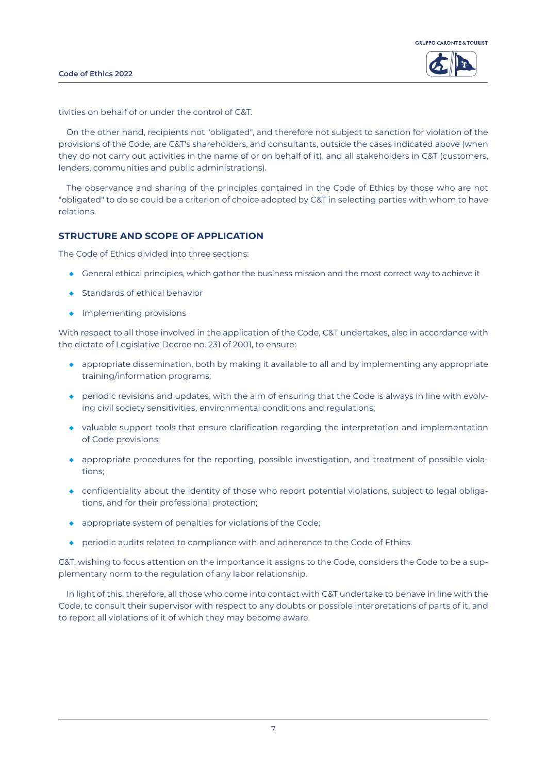



tivities on behalf of or under the control of C&T.

On the other hand, recipients not "obligated", and therefore not subject to sanction for violation of the provisions of the Code, are C&T's shareholders, and consultants, outside the cases indicated above (when they do not carry out activities in the name of or on behalf of it), and all stakeholders in C&T (customers, lenders, communities and public administrations).

The observance and sharing of the principles contained in the Code of Ethics by those who are not "obligated" to do so could be a criterion of choice adopted by C&T in selecting parties with whom to have relations.

## **STRUCTURE AND SCOPE OF APPLICATION**

The Code of Ethics divided into three sections:

- ◆ General ethical principles, which gather the business mission and the most correct way to achieve it
- ◆ Standards of ethical behavior
- ◆ Implementing provisions

With respect to all those involved in the application of the Code, C&T undertakes, also in accordance with the dictate of Legislative Decree no. 231 of 2001, to ensure:

- ◆ appropriate dissemination, both by making it available to all and by implementing any appropriate training/information programs;
- ◆ periodic revisions and updates, with the aim of ensuring that the Code is always in line with evolving civil society sensitivities, environmental conditions and regulations;
- ◆ valuable support tools that ensure clarification regarding the interpretation and implementation of Code provisions;
- ◆ appropriate procedures for the reporting, possible investigation, and treatment of possible violations;
- ◆ confidentiality about the identity of those who report potential violations, subject to legal obligations, and for their professional protection;
- ◆ appropriate system of penalties for violations of the Code;
- ◆ periodic audits related to compliance with and adherence to the Code of Ethics.

C&T, wishing to focus attention on the importance it assigns to the Code, considers the Code to be a supplementary norm to the regulation of any labor relationship.

In light of this, therefore, all those who come into contact with C&T undertake to behave in line with the Code, to consult their supervisor with respect to any doubts or possible interpretations of parts of it, and to report all violations of it of which they may become aware.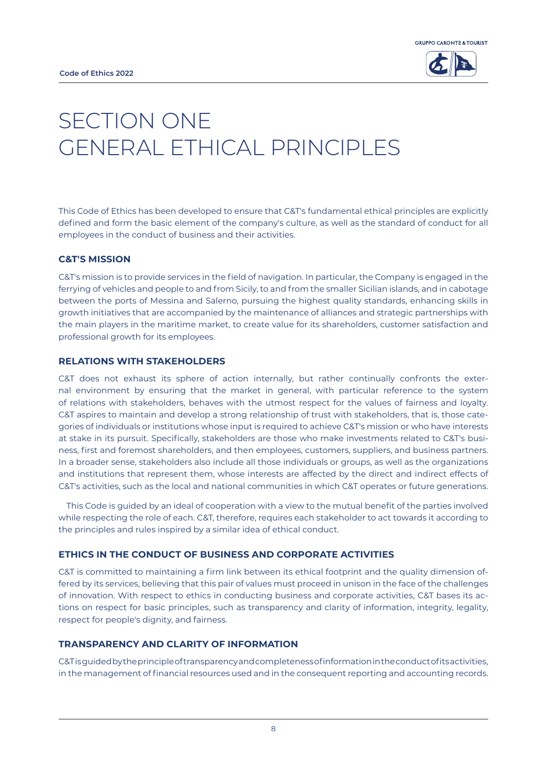

## SECTION ONE **GENERAL ETHICAL PRINCIPI FS**

This Code of Ethics has been developed to ensure that C&T's fundamental ethical principles are explicitly defined and form the basic element of the company's culture, as well as the standard of conduct for all employees in the conduct of business and their activities.

## **C&T'S MISSION**

C&T's mission is to provide services in the field of navigation. In particular, the Company is engaged in the ferrying of vehicles and people to and from Sicily, to and from the smaller Sicilian islands, and in cabotage between the ports of Messina and Salerno, pursuing the highest quality standards, enhancing skills in growth initiatives that are accompanied by the maintenance of alliances and strategic partnerships with the main players in the maritime market, to create value for its shareholders, customer satisfaction and professional growth for its employees.

## **RELATIONS WITH STAKEHOLDERS**

C&T does not exhaust its sphere of action internally, but rather continually confronts the external environment by ensuring that the market in general, with particular reference to the system of relations with stakeholders, behaves with the utmost respect for the values of fairness and loyalty. C&T aspires to maintain and develop a strong relationship of trust with stakeholders, that is, those categories of individuals or institutions whose input is required to achieve C&T's mission or who have interests at stake in its pursuit. Specifically, stakeholders are those who make investments related to C&T's business, first and foremost shareholders, and then employees, customers, suppliers, and business partners. In a broader sense, stakeholders also include all those individuals or groups, as well as the organizations and institutions that represent them, whose interests are affected by the direct and indirect effects of C&T's activities, such as the local and national communities in which C&T operates or future generations.

This Code is guided by an ideal of cooperation with a view to the mutual benefit of the parties involved while respecting the role of each. C&T, therefore, requires each stakeholder to act towards it according to the principles and rules inspired by a similar idea of ethical conduct.

## **ETHICS IN THE CONDUCT OF BUSINESS AND CORPORATE ACTIVITIES**

C&T is committed to maintaining a firm link between its ethical footprint and the quality dimension offered by its services, believing that this pair of values must proceed in unison in the face of the challenges of innovation. With respect to ethics in conducting business and corporate activities, C&T bases its actions on respect for basic principles, such as transparency and clarity of information, integrity, legality, respect for people's dignity, and fairness.

## **TRANSPARENCY AND CLARITY OF INFORMATION**

C&T is guided by the principle of transparency and completeness of information in the conduct of its activities, in the management of financial resources used and in the consequent reporting and accounting records.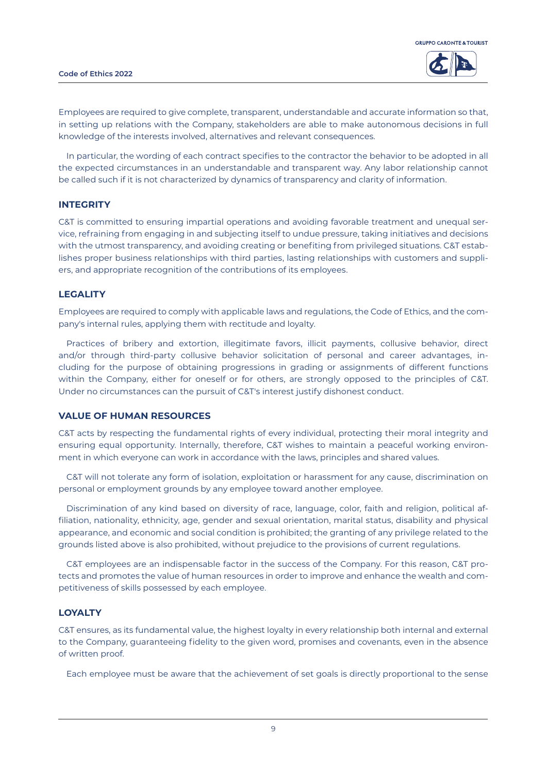



Employees are required to give complete, transparent, understandable and accurate information so that, in setting up relations with the Company, stakeholders are able to make autonomous decisions in full knowledge of the interests involved, alternatives and relevant consequences.

In particular, the wording of each contract specifies to the contractor the behavior to be adopted in all the expected circumstances in an understandable and transparent way. Any labor relationship cannot be called such if it is not characterized by dynamics of transparency and clarity of information.

#### **INTEGRITY**

C&T is committed to ensuring impartial operations and avoiding favorable treatment and unequal service, refraining from engaging in and subjecting itself to undue pressure, taking initiatives and decisions with the utmost transparency, and avoiding creating or benefiting from privileged situations. C&T establishes proper business relationships with third parties, lasting relationships with customers and suppliers, and appropriate recognition of the contributions of its employees.

#### **LEGALITY**

Employees are required to comply with applicable laws and regulations, the Code of Ethics, and the company's internal rules, applying them with rectitude and loyalty.

Practices of bribery and extortion, illegitimate favors, illicit payments, collusive behavior, direct and/or through third-party collusive behavior solicitation of personal and career advantages, including for the purpose of obtaining progressions in grading or assignments of different functions within the Company, either for oneself or for others, are strongly opposed to the principles of C&T. Under no circumstances can the pursuit of C&T's interest justify dishonest conduct.

## **VALUE OF HUMAN RESOURCES**

C&T acts by respecting the fundamental rights of every individual, protecting their moral integrity and ensuring equal opportunity. Internally, therefore, C&T wishes to maintain a peaceful working environment in which everyone can work in accordance with the laws, principles and shared values.

C&T will not tolerate any form of isolation, exploitation or harassment for any cause, discrimination on personal or employment grounds by any employee toward another employee.

Discrimination of any kind based on diversity of race, language, color, faith and religion, political affiliation, nationality, ethnicity, age, gender and sexual orientation, marital status, disability and physical appearance, and economic and social condition is prohibited; the granting of any privilege related to the grounds listed above is also prohibited, without prejudice to the provisions of current regulations.

C&T employees are an indispensable factor in the success of the Company. For this reason, C&T protects and promotes the value of human resources in order to improve and enhance the wealth and competitiveness of skills possessed by each employee.

#### **LOYALTY**

C&T ensures, as its fundamental value, the highest loyalty in every relationship both internal and external to the Company, guaranteeing fidelity to the given word, promises and covenants, even in the absence of written proof.

Each employee must be aware that the achievement of set goals is directly proportional to the sense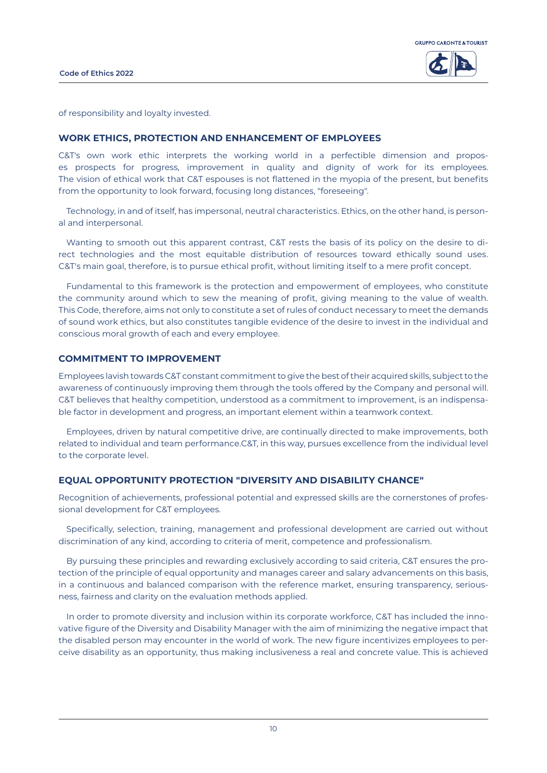



of responsibility and loyalty invested.

#### **WORK ETHICS, PROTECTION AND ENHANCEMENT OF EMPLOYEES**

C&T's own work ethic interprets the working world in a perfectible dimension and proposes prospects for progress, improvement in quality and dignity of work for its employees. The vision of ethical work that C&T espouses is not flattened in the myopia of the present, but benefits from the opportunity to look forward, focusing long distances, "foreseeing".

Technology, in and of itself, has impersonal, neutral characteristics. Ethics, on the other hand, is personal and interpersonal.

Wanting to smooth out this apparent contrast, C&T rests the basis of its policy on the desire to direct technologies and the most equitable distribution of resources toward ethically sound uses. C&T's main goal, therefore, is to pursue ethical profit, without limiting itself to a mere profit concept.

Fundamental to this framework is the protection and empowerment of employees, who constitute the community around which to sew the meaning of profit, giving meaning to the value of wealth. This Code, therefore, aims not only to constitute a set of rules of conduct necessary to meet the demands of sound work ethics, but also constitutes tangible evidence of the desire to invest in the individual and conscious moral growth of each and every employee.

## **COMMITMENT TO IMPROVEMENT**

Employees lavish towards C&T constant commitment to give the best of their acquired skills, subject to the awareness of continuously improving them through the tools offered by the Company and personal will. C&T believes that healthy competition, understood as a commitment to improvement, is an indispensable factor in development and progress, an important element within a teamwork context.

Employees, driven by natural competitive drive, are continually directed to make improvements, both related to individual and team performance.C&T, in this way, pursues excellence from the individual level to the corporate level.

## **EQUAL OPPORTUNITY PROTECTION "DIVERSITY AND DISABILITY CHANCE"**

Recognition of achievements, professional potential and expressed skills are the cornerstones of professional development for C&T employees.

Specifically, selection, training, management and professional development are carried out without discrimination of any kind, according to criteria of merit, competence and professionalism.

By pursuing these principles and rewarding exclusively according to said criteria, C&T ensures the protection of the principle of equal opportunity and manages career and salary advancements on this basis, in a continuous and balanced comparison with the reference market, ensuring transparency, seriousness, fairness and clarity on the evaluation methods applied.

In order to promote diversity and inclusion within its corporate workforce, C&T has included the innovative figure of the Diversity and Disability Manager with the aim of minimizing the negative impact that the disabled person may encounter in the world of work. The new figure incentivizes employees to perceive disability as an opportunity, thus making inclusiveness a real and concrete value. This is achieved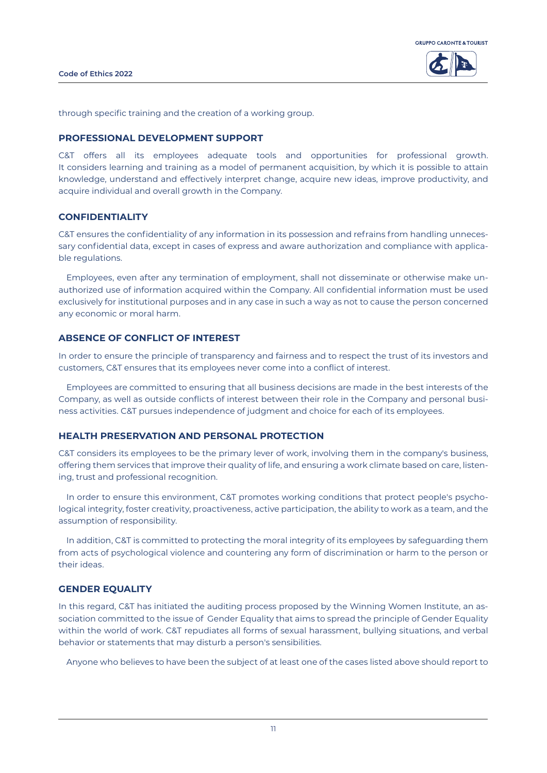

through specific training and the creation of a working group.

#### **PROFESSIONAL DEVELOPMENT SUPPORT**

C&T offers all its employees adequate tools and opportunities for professional growth. It considers learning and training as a model of permanent acquisition, by which it is possible to attain knowledge, understand and effectively interpret change, acquire new ideas, improve productivity, and acquire individual and overall growth in the Company.

## **CONFIDENTIALITY**

C&T ensures the confidentiality of any information in its possession and refrains from handling unnecessary confidential data, except in cases of express and aware authorization and compliance with applicable regulations.

Employees, even after any termination of employment, shall not disseminate or otherwise make unauthorized use of information acquired within the Company. All confidential information must be used exclusively for institutional purposes and in any case in such a way as not to cause the person concerned any economic or moral harm.

### **ABSENCE OF CONFLICT OF INTEREST**

In order to ensure the principle of transparency and fairness and to respect the trust of its investors and customers, C&T ensures that its employees never come into a conflict of interest.

Employees are committed to ensuring that all business decisions are made in the best interests of the Company, as well as outside conflicts of interest between their role in the Company and personal business activities. C&T pursues independence of judgment and choice for each of its employees.

#### **HEALTH PRESERVATION AND PERSONAL PROTECTION**

C&T considers its employees to be the primary lever of work, involving them in the company's business, offering them services that improve their quality of life, and ensuring a work climate based on care, listening, trust and professional recognition.

In order to ensure this environment, C&T promotes working conditions that protect people's psychological integrity, foster creativity, proactiveness, active participation, the ability to work as a team, and the assumption of responsibility.

In addition, C&T is committed to protecting the moral integrity of its employees by safeguarding them from acts of psychological violence and countering any form of discrimination or harm to the person or their ideas.

#### **GENDER EQUALITY**

In this regard, C&T has initiated the auditing process proposed by the Winning Women Institute, an association committed to the issue of Gender Equality that aims to spread the principle of Gender Equality within the world of work. C&T repudiates all forms of sexual harassment, bullying situations, and verbal behavior or statements that may disturb a person's sensibilities.

Anyone who believes to have been the subject of at least one of the cases listed above should report to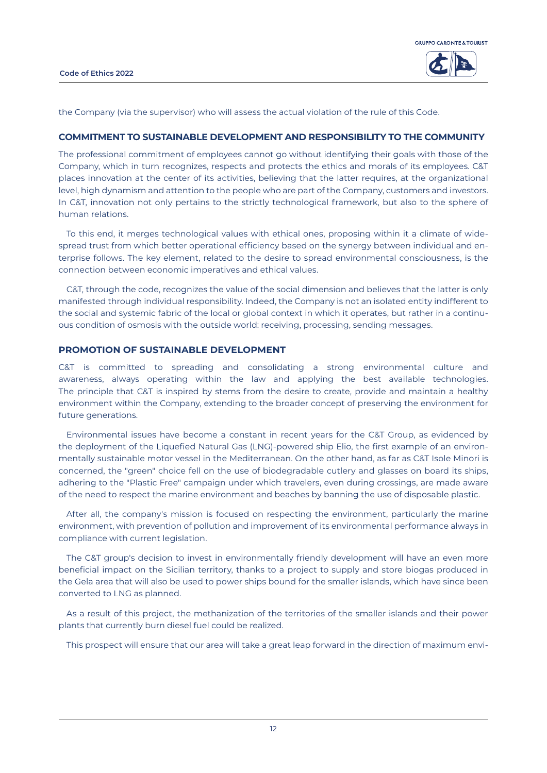

the Company (via the supervisor) who will assess the actual violation of the rule of this Code.

### **COMMITMENT TO SUSTAINABLE DEVELOPMENT AND RESPONSIBILITY TO THE COMMUNITY**

The professional commitment of employees cannot go without identifying their goals with those of the Company, which in turn recognizes, respects and protects the ethics and morals of its employees. C&T places innovation at the center of its activities, believing that the latter requires, at the organizational level, high dynamism and attention to the people who are part of the Company, customers and investors. In C&T, innovation not only pertains to the strictly technological framework, but also to the sphere of human relations.

To this end, it merges technological values with ethical ones, proposing within it a climate of widespread trust from which better operational efficiency based on the synergy between individual and enterprise follows. The key element, related to the desire to spread environmental consciousness, is the connection between economic imperatives and ethical values.

C&T, through the code, recognizes the value of the social dimension and believes that the latter is only manifested through individual responsibility. Indeed, the Company is not an isolated entity indifferent to the social and systemic fabric of the local or global context in which it operates, but rather in a continuous condition of osmosis with the outside world: receiving, processing, sending messages.

#### **PROMOTION OF SUSTAINABLE DEVELOPMENT**

C&T is committed to spreading and consolidating a strong environmental culture and awareness, always operating within the law and applying the best available technologies. The principle that C&T is inspired by stems from the desire to create, provide and maintain a healthy environment within the Company, extending to the broader concept of preserving the environment for future generations.

Environmental issues have become a constant in recent years for the C&T Group, as evidenced by the deployment of the Liquefied Natural Gas (LNG)-powered ship Elio, the first example of an environmentally sustainable motor vessel in the Mediterranean. On the other hand, as far as C&T Isole Minori is concerned, the "green" choice fell on the use of biodegradable cutlery and glasses on board its ships, adhering to the "Plastic Free" campaign under which travelers, even during crossings, are made aware of the need to respect the marine environment and beaches by banning the use of disposable plastic.

After all, the company's mission is focused on respecting the environment, particularly the marine environment, with prevention of pollution and improvement of its environmental performance always in compliance with current legislation.

The C&T group's decision to invest in environmentally friendly development will have an even more beneficial impact on the Sicilian territory, thanks to a project to supply and store biogas produced in the Gela area that will also be used to power ships bound for the smaller islands, which have since been converted to LNG as planned.

As a result of this project, the methanization of the territories of the smaller islands and their power plants that currently burn diesel fuel could be realized.

This prospect will ensure that our area will take a great leap forward in the direction of maximum envi-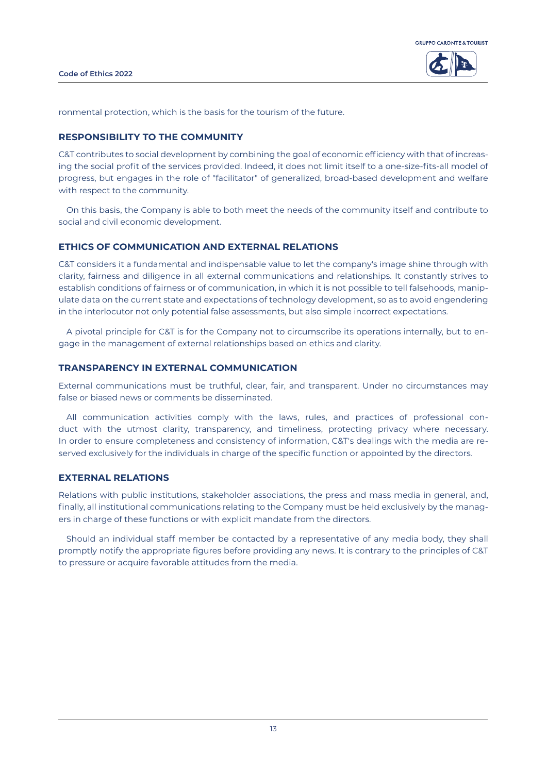

ronmental protection, which is the basis for the tourism of the future.

## **RESPONSIBILITY TO THE COMMUNITY**

C&T contributes to social development by combining the goal of economic efficiency with that of increasing the social profit of the services provided. Indeed, it does not limit itself to a one-size-fits-all model of progress, but engages in the role of "facilitator" of generalized, broad-based development and welfare with respect to the community.

On this basis, the Company is able to both meet the needs of the community itself and contribute to social and civil economic development.

#### **ETHICS OF COMMUNICATION AND EXTERNAL RELATIONS**

C&T considers it a fundamental and indispensable value to let the company's image shine through with clarity, fairness and diligence in all external communications and relationships. It constantly strives to establish conditions of fairness or of communication, in which it is not possible to tell falsehoods, manipulate data on the current state and expectations of technology development, so as to avoid engendering in the interlocutor not only potential false assessments, but also simple incorrect expectations.

A pivotal principle for C&T is for the Company not to circumscribe its operations internally, but to engage in the management of external relationships based on ethics and clarity.

#### **TRANSPARENCY IN EXTERNAL COMMUNICATION**

External communications must be truthful, clear, fair, and transparent. Under no circumstances may false or biased news or comments be disseminated.

All communication activities comply with the laws, rules, and practices of professional conduct with the utmost clarity, transparency, and timeliness, protecting privacy where necessary. In order to ensure completeness and consistency of information, C&T's dealings with the media are reserved exclusively for the individuals in charge of the specific function or appointed by the directors.

## **EXTERNAL RELATIONS**

Relations with public institutions, stakeholder associations, the press and mass media in general, and, finally, all institutional communications relating to the Company must be held exclusively by the managers in charge of these functions or with explicit mandate from the directors.

Should an individual staff member be contacted by a representative of any media body, they shall promptly notify the appropriate figures before providing any news. It is contrary to the principles of C&T to pressure or acquire favorable attitudes from the media.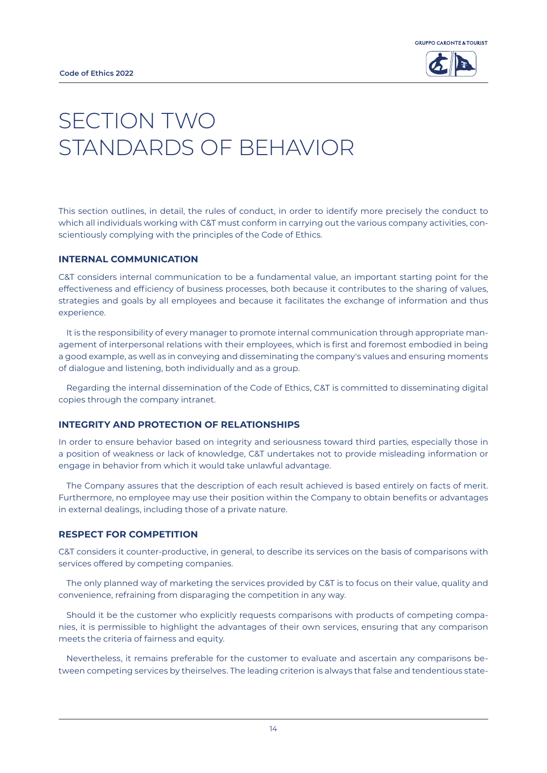

## SECTION TWO STANDARDS OF BEHAVIOR

This section outlines, in detail, the rules of conduct, in order to identify more precisely the conduct to which all individuals working with C&T must conform in carrying out the various company activities, conscientiously complying with the principles of the Code of Ethics.

## **INTERNAL COMMUNICATION**

C&T considers internal communication to be a fundamental value, an important starting point for the effectiveness and efficiency of business processes, both because it contributes to the sharing of values, strategies and goals by all employees and because it facilitates the exchange of information and thus experience.

It is the responsibility of every manager to promote internal communication through appropriate management of interpersonal relations with their employees, which is first and foremost embodied in being a good example, as well as in conveying and disseminating the company's values and ensuring moments of dialogue and listening, both individually and as a group.

Regarding the internal dissemination of the Code of Ethics, C&T is committed to disseminating digital copies through the company intranet.

#### **INTEGRITY AND PROTECTION OF RELATIONSHIPS**

In order to ensure behavior based on integrity and seriousness toward third parties, especially those in a position of weakness or lack of knowledge, C&T undertakes not to provide misleading information or engage in behavior from which it would take unlawful advantage.

The Company assures that the description of each result achieved is based entirely on facts of merit. Furthermore, no employee may use their position within the Company to obtain benefits or advantages in external dealings, including those of a private nature.

#### **RESPECT FOR COMPETITION**

C&T considers it counter-productive, in general, to describe its services on the basis of comparisons with services offered by competing companies.

The only planned way of marketing the services provided by C&T is to focus on their value, quality and convenience, refraining from disparaging the competition in any way.

Should it be the customer who explicitly requests comparisons with products of competing companies, it is permissible to highlight the advantages of their own services, ensuring that any comparison meets the criteria of fairness and equity.

Nevertheless, it remains preferable for the customer to evaluate and ascertain any comparisons between competing services by theirselves. The leading criterion is always that false and tendentious state-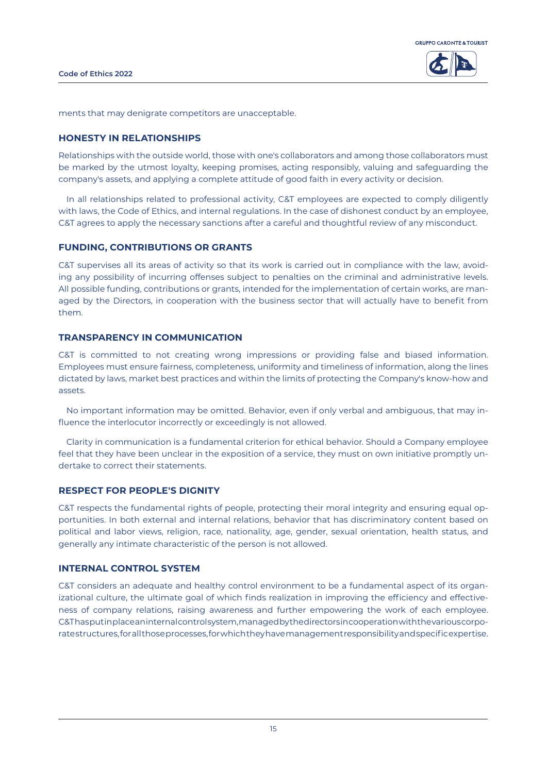



ments that may denigrate competitors are unacceptable.

#### **HONESTY IN RELATIONSHIPS**

Relationships with the outside world, those with one's collaborators and among those collaborators must be marked by the utmost loyalty, keeping promises, acting responsibly, valuing and safeguarding the company's assets, and applying a complete attitude of good faith in every activity or decision.

In all relationships related to professional activity, C&T employees are expected to comply diligently with laws, the Code of Ethics, and internal regulations. In the case of dishonest conduct by an employee, C&T agrees to apply the necessary sanctions after a careful and thoughtful review of any misconduct.

#### **FUNDING, CONTRIBUTIONS OR GRANTS**

C&T supervises all its areas of activity so that its work is carried out in compliance with the law, avoiding any possibility of incurring offenses subject to penalties on the criminal and administrative levels. All possible funding, contributions or grants, intended for the implementation of certain works, are managed by the Directors, in cooperation with the business sector that will actually have to benefit from them.

## **TRANSPARENCY IN COMMUNICATION**

C&T is committed to not creating wrong impressions or providing false and biased information. Employees must ensure fairness, completeness, uniformity and timeliness of information, along the lines dictated by laws, market best practices and within the limits of protecting the Company's know-how and assets.

No important information may be omitted. Behavior, even if only verbal and ambiguous, that may influence the interlocutor incorrectly or exceedingly is not allowed.

Clarity in communication is a fundamental criterion for ethical behavior. Should a Company employee feel that they have been unclear in the exposition of a service, they must on own initiative promptly undertake to correct their statements.

#### **RESPECT FOR PEOPLE'S DIGNITY**

C&T respects the fundamental rights of people, protecting their moral integrity and ensuring equal opportunities. In both external and internal relations, behavior that has discriminatory content based on political and labor views, religion, race, nationality, age, gender, sexual orientation, health status, and generally any intimate characteristic of the person is not allowed.

## **INTERNAL CONTROL SYSTEM**

C&T considers an adequate and healthy control environment to be a fundamental aspect of its organizational culture, the ultimate goal of which finds realization in improving the efficiency and effectiveness of company relations, raising awareness and further empowering the work of each employee. C&T has put in place an internal control system, managed by the directors in cooperation with the various corporate structures, for all those processes, for which they have management responsibility and specific expertise.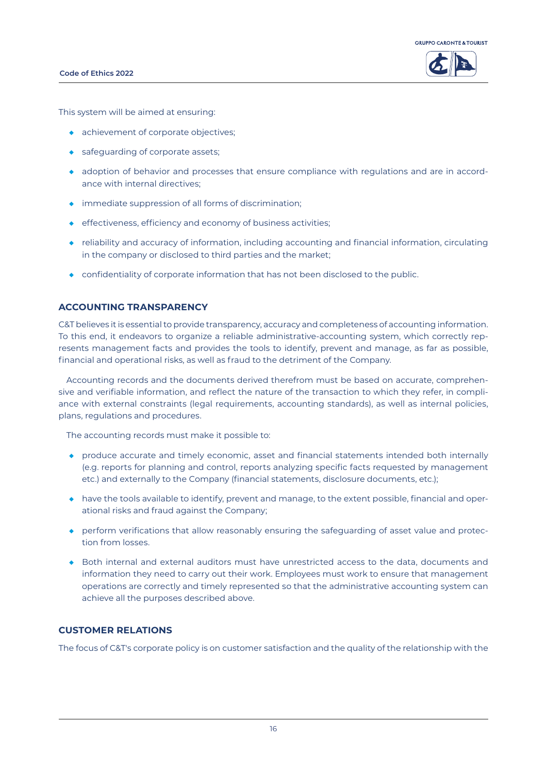#### **Code of Ethics 2022**





This system will be aimed at ensuring:

- ◆ achievement of corporate objectives;
- ◆ safequarding of corporate assets;
- ◆ adoption of behavior and processes that ensure compliance with regulations and are in accordance with internal directives;
- ◆ immediate suppression of all forms of discrimination;
- ◆ effectiveness, efficiency and economy of business activities;
- ◆ reliability and accuracy of information, including accounting and financial information, circulating in the company or disclosed to third parties and the market;
- ◆ confidentiality of corporate information that has not been disclosed to the public.

## **ACCOUNTING TRANSPARENCY**

C&T believes it is essential to provide transparency, accuracy and completeness of accounting information. To this end, it endeavors to organize a reliable administrative-accounting system, which correctly represents management facts and provides the tools to identify, prevent and manage, as far as possible, financial and operational risks, as well as fraud to the detriment of the Company.

Accounting records and the documents derived therefrom must be based on accurate, comprehensive and verifiable information, and reflect the nature of the transaction to which they refer, in compliance with external constraints (legal requirements, accounting standards), as well as internal policies, plans, regulations and procedures.

The accounting records must make it possible to:

- ◆ produce accurate and timely economic, asset and financial statements intended both internally (e.g. reports for planning and control, reports analyzing specific facts requested by management etc.) and externally to the Company (financial statements, disclosure documents, etc.);
- ◆ have the tools available to identify, prevent and manage, to the extent possible, financial and operational risks and fraud against the Company;
- ◆ perform verifications that allow reasonably ensuring the safeguarding of asset value and protection from losses.
- ◆ Both internal and external auditors must have unrestricted access to the data, documents and information they need to carry out their work. Employees must work to ensure that management operations are correctly and timely represented so that the administrative accounting system can achieve all the purposes described above.

## **CUSTOMER RELATIONS**

The focus of C&T's corporate policy is on customer satisfaction and the quality of the relationship with the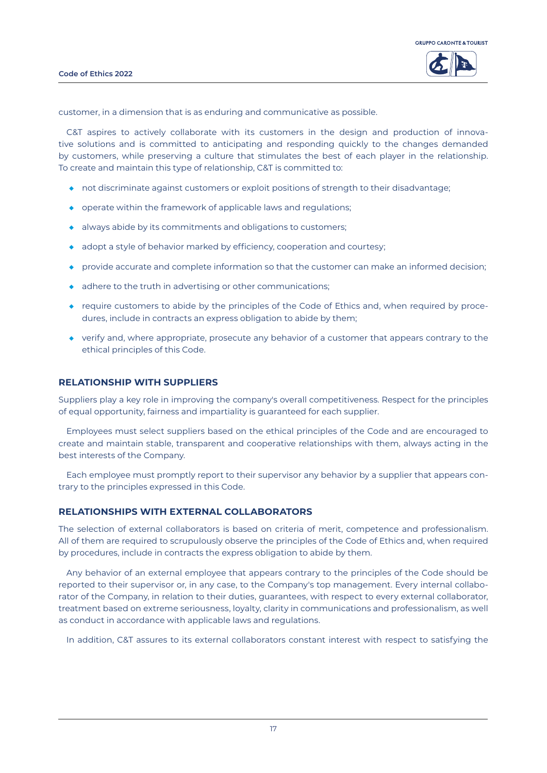

customer, in a dimension that is as enduring and communicative as possible.

C&T aspires to actively collaborate with its customers in the design and production of innovative solutions and is committed to anticipating and responding quickly to the changes demanded by customers, while preserving a culture that stimulates the best of each player in the relationship. To create and maintain this type of relationship, C&T is committed to:

- ◆ not discriminate against customers or exploit positions of strength to their disadvantage;
- ◆ operate within the framework of applicable laws and regulations;
- ◆ always abide by its commitments and obligations to customers;
- ◆ adopt a style of behavior marked by efficiency, cooperation and courtesy;
- ◆ provide accurate and complete information so that the customer can make an informed decision;
- ◆ adhere to the truth in advertising or other communications;
- ◆ require customers to abide by the principles of the Code of Ethics and, when required by procedures, include in contracts an express obligation to abide by them;
- ◆ verify and, where appropriate, prosecute any behavior of a customer that appears contrary to the ethical principles of this Code.

#### **RELATIONSHIP WITH SUPPLIERS**

Suppliers play a key role in improving the company's overall competitiveness. Respect for the principles of equal opportunity, fairness and impartiality is guaranteed for each supplier.

Employees must select suppliers based on the ethical principles of the Code and are encouraged to create and maintain stable, transparent and cooperative relationships with them, always acting in the best interests of the Company.

Each employee must promptly report to their supervisor any behavior by a supplier that appears contrary to the principles expressed in this Code.

#### **RELATIONSHIPS WITH EXTERNAL COLLABORATORS**

The selection of external collaborators is based on criteria of merit, competence and professionalism. All of them are required to scrupulously observe the principles of the Code of Ethics and, when required by procedures, include in contracts the express obligation to abide by them.

Any behavior of an external employee that appears contrary to the principles of the Code should be reported to their supervisor or, in any case, to the Company's top management. Every internal collaborator of the Company, in relation to their duties, guarantees, with respect to every external collaborator, treatment based on extreme seriousness, loyalty, clarity in communications and professionalism, as well as conduct in accordance with applicable laws and regulations.

In addition, C&T assures to its external collaborators constant interest with respect to satisfying the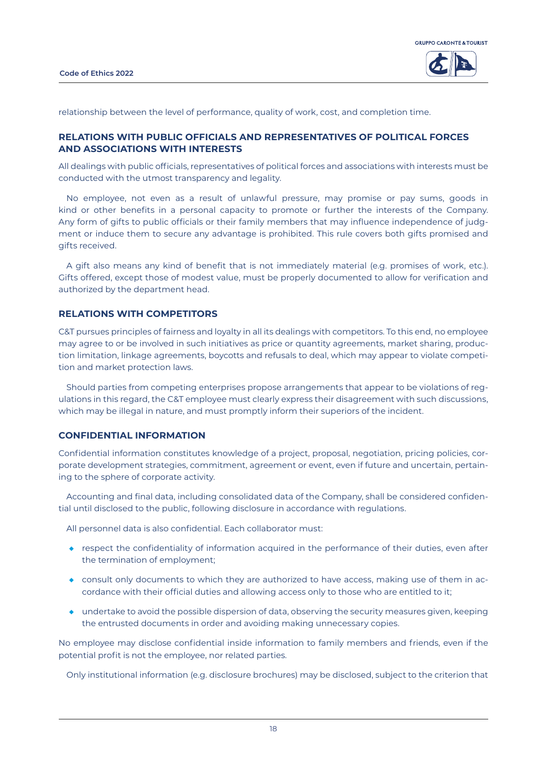



relationship between the level of performance, quality of work, cost, and completion time.

## **RELATIONS WITH PUBLIC OFFICIALS AND REPRESENTATIVES OF POLITICAL FORCES AND ASSOCIATIONS WITH INTERESTS**

All dealings with public officials, representatives of political forces and associations with interests must be conducted with the utmost transparency and legality.

No employee, not even as a result of unlawful pressure, may promise or pay sums, goods in kind or other benefits in a personal capacity to promote or further the interests of the Company. Any form of gifts to public officials or their family members that may influence independence of judgment or induce them to secure any advantage is prohibited. This rule covers both gifts promised and gifts received.

A gift also means any kind of benefit that is not immediately material (e.g. promises of work, etc.). Gifts offered, except those of modest value, must be properly documented to allow for verification and authorized by the department head.

#### **RELATIONS WITH COMPETITORS**

C&T pursues principles of fairness and loyalty in all its dealings with competitors. To this end, no employee may agree to or be involved in such initiatives as price or quantity agreements, market sharing, production limitation, linkage agreements, boycotts and refusals to deal, which may appear to violate competition and market protection laws.

Should parties from competing enterprises propose arrangements that appear to be violations of regulations in this regard, the C&T employee must clearly express their disagreement with such discussions, which may be illegal in nature, and must promptly inform their superiors of the incident.

#### **CONFIDENTIAL INFORMATION**

Confidential information constitutes knowledge of a project, proposal, negotiation, pricing policies, corporate development strategies, commitment, agreement or event, even if future and uncertain, pertaining to the sphere of corporate activity.

Accounting and final data, including consolidated data of the Company, shall be considered confidential until disclosed to the public, following disclosure in accordance with regulations.

All personnel data is also confidential. Each collaborator must:

- ◆ respect the confidentiality of information acquired in the performance of their duties, even after the termination of employment;
- ◆ consult only documents to which they are authorized to have access, making use of them in accordance with their official duties and allowing access only to those who are entitled to it;
- ◆ undertake to avoid the possible dispersion of data, observing the security measures given, keeping the entrusted documents in order and avoiding making unnecessary copies.

No employee may disclose confidential inside information to family members and friends, even if the potential profit is not the employee, nor related parties.

Only institutional information (e.g. disclosure brochures) may be disclosed, subject to the criterion that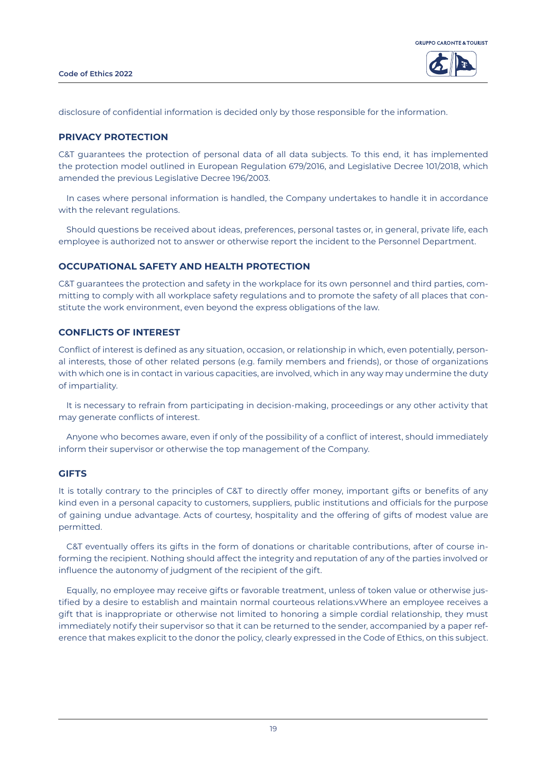

disclosure of confidential information is decided only by those responsible for the information.

#### **PRIVACY PROTECTION**

C&T guarantees the protection of personal data of all data subjects. To this end, it has implemented the protection model outlined in European Regulation 679/2016, and Legislative Decree 101/2018, which amended the previous Legislative Decree 196/2003.

In cases where personal information is handled, the Company undertakes to handle it in accordance with the relevant regulations.

Should questions be received about ideas, preferences, personal tastes or, in general, private life, each employee is authorized not to answer or otherwise report the incident to the Personnel Department.

#### **OCCUPATIONAL SAFETY AND HEALTH PROTECTION**

C&T guarantees the protection and safety in the workplace for its own personnel and third parties, committing to comply with all workplace safety regulations and to promote the safety of all places that constitute the work environment, even beyond the express obligations of the law.

## **CONFLICTS OF INTEREST**

Conflict of interest is defined as any situation, occasion, or relationship in which, even potentially, personal interests, those of other related persons (e.g. family members and friends), or those of organizations with which one is in contact in various capacities, are involved, which in any way may undermine the duty of impartiality.

It is necessary to refrain from participating in decision-making, proceedings or any other activity that may generate conflicts of interest.

Anyone who becomes aware, even if only of the possibility of a conflict of interest, should immediately inform their supervisor or otherwise the top management of the Company.

#### **GIFTS**

It is totally contrary to the principles of C&T to directly offer money, important gifts or benefits of any kind even in a personal capacity to customers, suppliers, public institutions and officials for the purpose of gaining undue advantage. Acts of courtesy, hospitality and the offering of gifts of modest value are permitted.

C&T eventually offers its gifts in the form of donations or charitable contributions, after of course informing the recipient. Nothing should affect the integrity and reputation of any of the parties involved or influence the autonomy of judgment of the recipient of the gift.

Equally, no employee may receive gifts or favorable treatment, unless of token value or otherwise justified by a desire to establish and maintain normal courteous relations.vWhere an employee receives a gift that is inappropriate or otherwise not limited to honoring a simple cordial relationship, they must immediately notify their supervisor so that it can be returned to the sender, accompanied by a paper reference that makes explicit to the donor the policy, clearly expressed in the Code of Ethics, on this subject.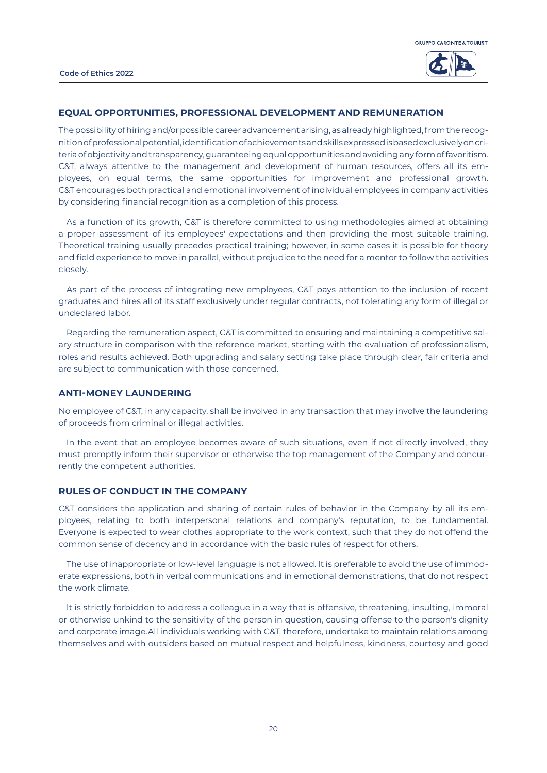

#### **EQUAL OPPORTUNITIES, PROFESSIONAL DEVELOPMENT AND REMUNERATION**

The possibility of hiring and/or possible career advancement arising, as already highlighted, from the recognition of professional potential, identification of achievements and skills expressed is based exclusively on criteria of objectivity and transparency, guaranteeing equal opportunities and avoiding any form of favoritism. C&T, always attentive to the management and development of human resources, offers all its employees, on equal terms, the same opportunities for improvement and professional growth. C&T encourages both practical and emotional involvement of individual employees in company activities by considering financial recognition as a completion of this process.

As a function of its growth, C&T is therefore committed to using methodologies aimed at obtaining a proper assessment of its employees' expectations and then providing the most suitable training. Theoretical training usually precedes practical training; however, in some cases it is possible for theory and field experience to move in parallel, without prejudice to the need for a mentor to follow the activities closely.

As part of the process of integrating new employees, C&T pays attention to the inclusion of recent graduates and hires all of its staff exclusively under regular contracts, not tolerating any form of illegal or undeclared labor.

Regarding the remuneration aspect, C&T is committed to ensuring and maintaining a competitive salary structure in comparison with the reference market, starting with the evaluation of professionalism, roles and results achieved. Both upgrading and salary setting take place through clear, fair criteria and are subject to communication with those concerned.

#### **ANTI-MONEY LAUNDERING**

No employee of C&T, in any capacity, shall be involved in any transaction that may involve the laundering of proceeds from criminal or illegal activities.

In the event that an employee becomes aware of such situations, even if not directly involved, they must promptly inform their supervisor or otherwise the top management of the Company and concurrently the competent authorities.

## **RULES OF CONDUCT IN THE COMPANY**

C&T considers the application and sharing of certain rules of behavior in the Company by all its employees, relating to both interpersonal relations and company's reputation, to be fundamental. Everyone is expected to wear clothes appropriate to the work context, such that they do not offend the common sense of decency and in accordance with the basic rules of respect for others.

The use of inappropriate or low-level language is not allowed. It is preferable to avoid the use of immoderate expressions, both in verbal communications and in emotional demonstrations, that do not respect the work climate.

It is strictly forbidden to address a colleague in a way that is offensive, threatening, insulting, immoral or otherwise unkind to the sensitivity of the person in question, causing offense to the person's dignity and corporate image.All individuals working with C&T, therefore, undertake to maintain relations among themselves and with outsiders based on mutual respect and helpfulness, kindness, courtesy and good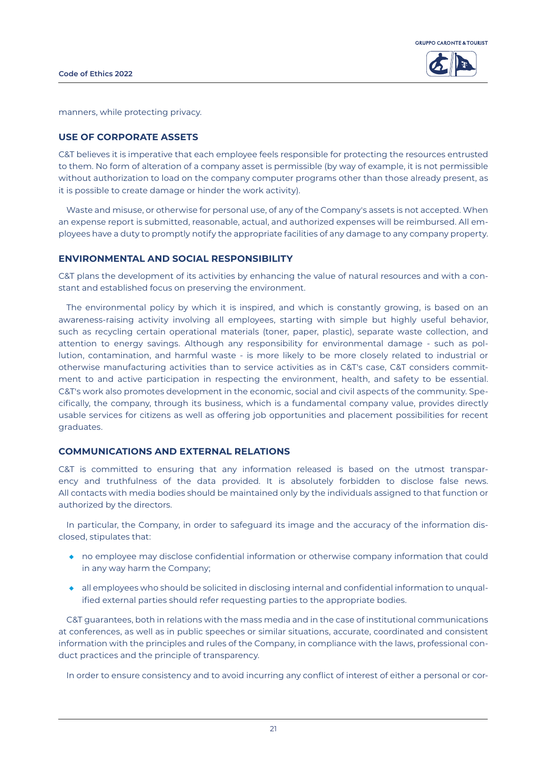



manners, while protecting privacy.

#### **USE OF CORPORATE ASSETS**

C&T believes it is imperative that each employee feels responsible for protecting the resources entrusted to them. No form of alteration of a company asset is permissible (by way of example, it is not permissible without authorization to load on the company computer programs other than those already present, as it is possible to create damage or hinder the work activity).

Waste and misuse, or otherwise for personal use, of any of the Company's assets is not accepted. When an expense report is submitted, reasonable, actual, and authorized expenses will be reimbursed. All employees have a duty to promptly notify the appropriate facilities of any damage to any company property.

### **ENVIRONMENTAL AND SOCIAL RESPONSIBILITY**

C&T plans the development of its activities by enhancing the value of natural resources and with a constant and established focus on preserving the environment.

The environmental policy by which it is inspired, and which is constantly growing, is based on an awareness-raising activity involving all employees, starting with simple but highly useful behavior, such as recycling certain operational materials (toner, paper, plastic), separate waste collection, and attention to energy savings. Although any responsibility for environmental damage - such as pollution, contamination, and harmful waste - is more likely to be more closely related to industrial or otherwise manufacturing activities than to service activities as in C&T's case, C&T considers commitment to and active participation in respecting the environment, health, and safety to be essential. C&T's work also promotes development in the economic, social and civil aspects of the community. Specifically, the company, through its business, which is a fundamental company value, provides directly usable services for citizens as well as offering job opportunities and placement possibilities for recent graduates.

#### **COMMUNICATIONS AND EXTERNAL RELATIONS**

C&T is committed to ensuring that any information released is based on the utmost transparency and truthfulness of the data provided. It is absolutely forbidden to disclose false news. All contacts with media bodies should be maintained only by the individuals assigned to that function or authorized by the directors.

In particular, the Company, in order to safeguard its image and the accuracy of the information disclosed, stipulates that:

- ◆ no employee may disclose confidential information or otherwise company information that could in any way harm the Company;
- ◆ all employees who should be solicited in disclosing internal and confidential information to unqualified external parties should refer requesting parties to the appropriate bodies.

C&T guarantees, both in relations with the mass media and in the case of institutional communications at conferences, as well as in public speeches or similar situations, accurate, coordinated and consistent information with the principles and rules of the Company, in compliance with the laws, professional conduct practices and the principle of transparency.

In order to ensure consistency and to avoid incurring any conflict of interest of either a personal or cor-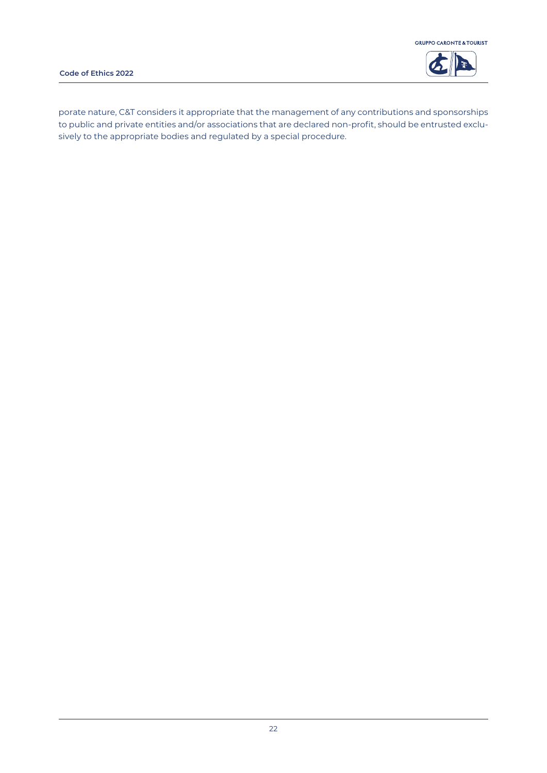



porate nature, C&T considers it appropriate that the management of any contributions and sponsorships to public and private entities and/or associations that are declared non-profit, should be entrusted exclusively to the appropriate bodies and regulated by a special procedure.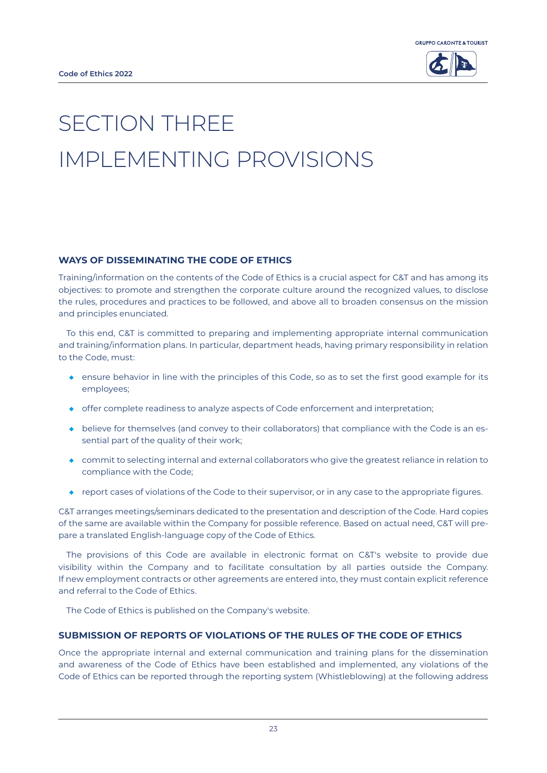



# SECTION THREE IMPLEMENTING PROVISIONS

## **WAYS OF DISSEMINATING THE CODE OF ETHICS**

Training/information on the contents of the Code of Ethics is a crucial aspect for C&T and has among its objectives: to promote and strengthen the corporate culture around the recognized values, to disclose the rules, procedures and practices to be followed, and above all to broaden consensus on the mission and principles enunciated.

To this end, C&T is committed to preparing and implementing appropriate internal communication and training/information plans. In particular, department heads, having primary responsibility in relation to the Code, must:

- ◆ ensure behavior in line with the principles of this Code, so as to set the first good example for its employees;
- ◆ offer complete readiness to analyze aspects of Code enforcement and interpretation;
- ◆ believe for themselves (and convey to their collaborators) that compliance with the Code is an essential part of the quality of their work;
- ◆ commit to selecting internal and external collaborators who give the greatest reliance in relation to compliance with the Code;
- ◆ report cases of violations of the Code to their supervisor, or in any case to the appropriate figures.

C&T arranges meetings/seminars dedicated to the presentation and description of the Code. Hard copies of the same are available within the Company for possible reference. Based on actual need, C&T will prepare a translated English-language copy of the Code of Ethics.

The provisions of this Code are available in electronic format on C&T's website to provide due visibility within the Company and to facilitate consultation by all parties outside the Company. If new employment contracts or other agreements are entered into, they must contain explicit reference and referral to the Code of Ethics.

The Code of Ethics is published on the Company's website.

## **SUBMISSION OF REPORTS OF VIOLATIONS OF THE RULES OF THE CODE OF ETHICS**

Once the appropriate internal and external communication and training plans for the dissemination and awareness of the Code of Ethics have been established and implemented, any violations of the Code of Ethics can be reported through the reporting system (Whistleblowing) at the following address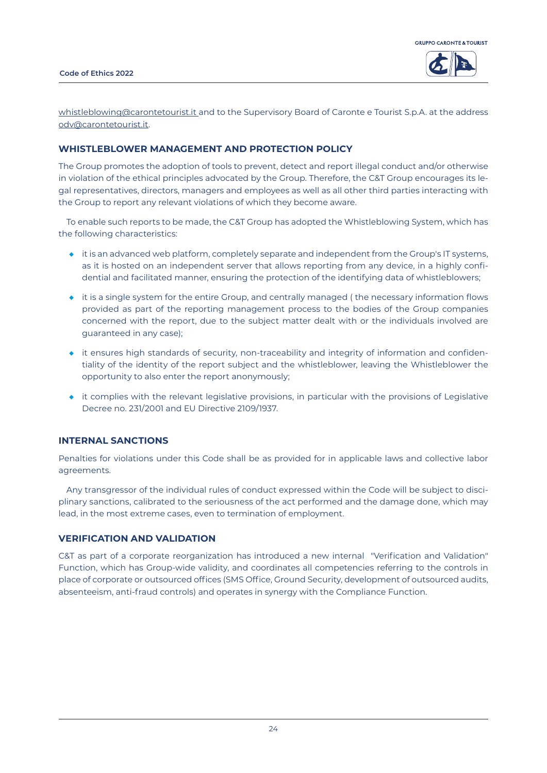



whistleblowing@carontetourist.it and to the Supervisory Board of Caronte e Tourist S.p.A. at the address odv@carontetourist.it.

## **WHISTLEBLOWER MANAGEMENT AND PROTECTION POLICY**

The Group promotes the adoption of tools to prevent, detect and report illegal conduct and/or otherwise in violation of the ethical principles advocated by the Group. Therefore, the C&T Group encourages its legal representatives, directors, managers and employees as well as all other third parties interacting with the Group to report any relevant violations of which they become aware.

To enable such reports to be made, the C&T Group has adopted the Whistleblowing System, which has the following characteristics:

- ◆ it is an advanced web platform, completely separate and independent from the Group's IT systems, as it is hosted on an independent server that allows reporting from any device, in a highly confidential and facilitated manner, ensuring the protection of the identifying data of whistleblowers;
- ◆ it is a single system for the entire Group, and centrally managed (the necessary information flows provided as part of the reporting management process to the bodies of the Group companies concerned with the report, due to the subject matter dealt with or the individuals involved are guaranteed in any case);
- ◆ it ensures high standards of security, non-traceability and integrity of information and confidentiality of the identity of the report subject and the whistleblower, leaving the Whistleblower the opportunity to also enter the report anonymously;
- ◆ it complies with the relevant legislative provisions, in particular with the provisions of Legislative Decree no. 231/2001 and EU Directive 2109/1937.

#### **INTERNAL SANCTIONS**

Penalties for violations under this Code shall be as provided for in applicable laws and collective labor agreements.

Any transgressor of the individual rules of conduct expressed within the Code will be subject to disciplinary sanctions, calibrated to the seriousness of the act performed and the damage done, which may lead, in the most extreme cases, even to termination of employment.

#### **VERIFICATION AND VALIDATION**

C&T as part of a corporate reorganization has introduced a new internal "Verification and Validation" Function, which has Group-wide validity, and coordinates all competencies referring to the controls in place of corporate or outsourced offices (SMS Office, Ground Security, development of outsourced audits, absenteeism, anti-fraud controls) and operates in synergy with the Compliance Function.